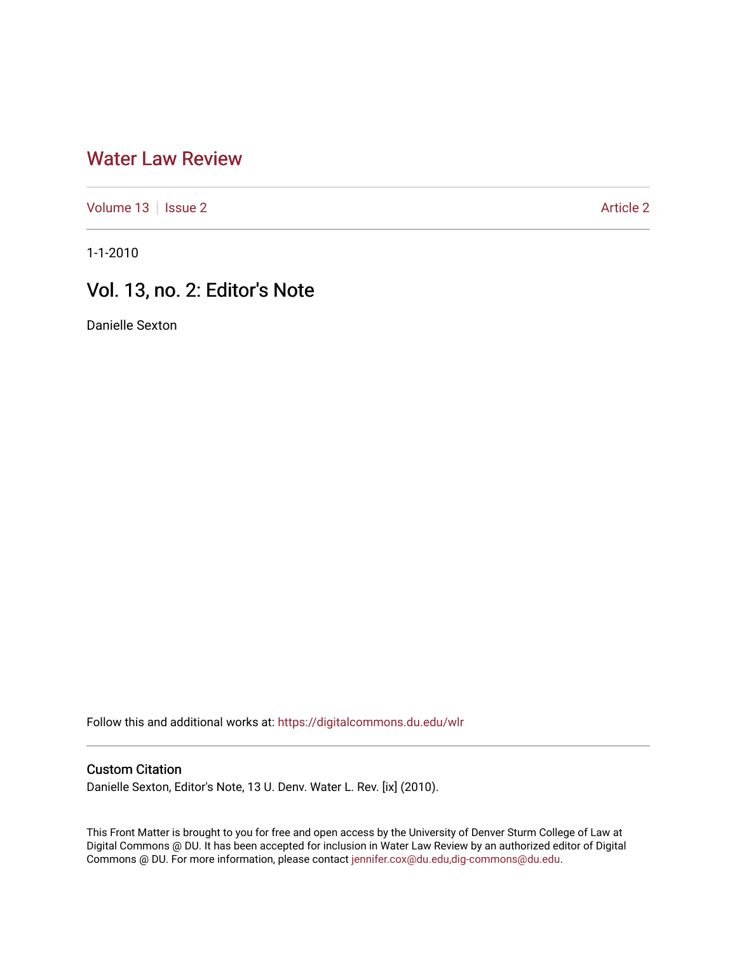## [Water Law Review](https://digitalcommons.du.edu/wlr)

[Volume 13](https://digitalcommons.du.edu/wlr/vol13) | [Issue 2](https://digitalcommons.du.edu/wlr/vol13/iss2) Article 2

1-1-2010

## Vol. 13, no. 2: Editor's Note

Danielle Sexton

Follow this and additional works at: [https://digitalcommons.du.edu/wlr](https://digitalcommons.du.edu/wlr?utm_source=digitalcommons.du.edu%2Fwlr%2Fvol13%2Fiss2%2F2&utm_medium=PDF&utm_campaign=PDFCoverPages) 

## Custom Citation

Danielle Sexton, Editor's Note, 13 U. Denv. Water L. Rev. [ix] (2010).

This Front Matter is brought to you for free and open access by the University of Denver Sturm College of Law at Digital Commons @ DU. It has been accepted for inclusion in Water Law Review by an authorized editor of Digital Commons @ DU. For more information, please contact [jennifer.cox@du.edu,dig-commons@du.edu.](mailto:jennifer.cox@du.edu,dig-commons@du.edu)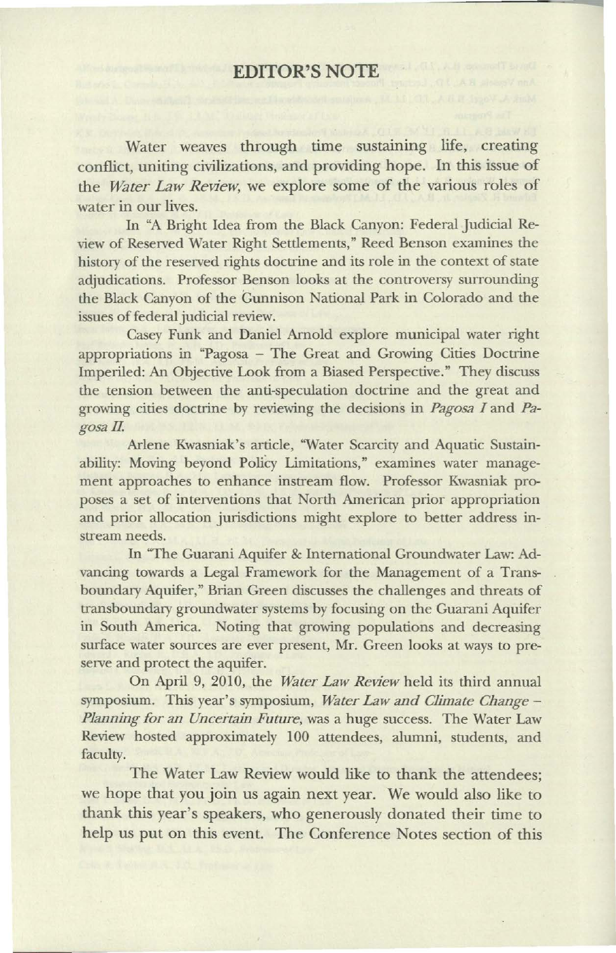## **EDITOR'S NOTE**

Water weaves through time sustaining life, creating conflict, uniting civilizations, and providing hope. In this issue of the *Water Law Review*, we explore some of the various roles of water in our lives.

In "A Bright Idea from the Black Canyon: Federal Judicial Review of Reserved Water Right Settlements," Reed Benson examines the history of the reserved rights doctrine and its role in the context of state adjudications. Professor Benson looks at the controversy surrounding the Black Canyon of the Gunnison National Park in Colorado and the issues of federal judicial review.

Casey Funk and Daniel Arnold explore municipal water right appropriations in "Pagosa - The Great and Growing Cities Doctrine Imperiled: An Objective Look from a Biased Perspective." They discuss the tension between the anti-speculation doctrine and the great and growing cities doctrine by reviewing the decisions in *Pagosa I* and *Pa*gosa II.

Arlene Kwasniak's article, "Water Scarcity and Aquatic Sustainability: Moving beyond Policy Limitations," examines water management approaches to enhance instream flow. Professor Kwasniak proposes a set of interventions that North American prior appropriation and prior allocation jurisdictions might explore to better address instream needs.

In "The Guarani Aquifer & International Groundwater Law: Advancing towards a Legal Framework for the Management of a Transboundary Aquifer," Brian Green discusses the challenges and threats of transboundary groundwater systems by focusing on the Guarani Aquifer in South America. Noting that growing populations and decreasing surface water sources are ever present, Mr. Green looks at ways to preserve and protect the aquifer.

On April 9, 2010, the *Water Law Review* held its third annual symposium. This year's symposium, *Water Law and Climate Change-Planning for an Uncertain Future,* was a huge success. The Water Law Review hosted approximately 100 attendees, alumni, students, and faculty.

The Water Law Review would like to thank the attendees; we hope that you join us again next year. We would also like to thank this year's speakers, who generously donated their time to help us put on this event. The Conference Notes section of this